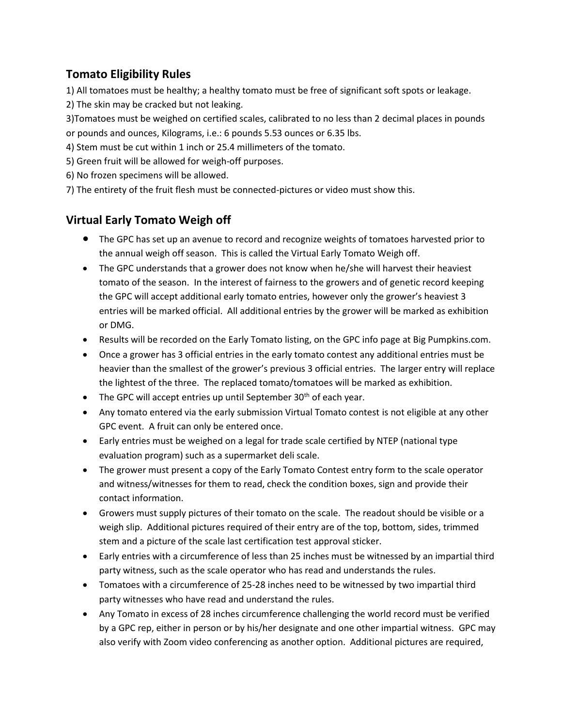## **Tomato Eligibility Rules**

1) All tomatoes must be healthy; a healthy tomato must be free of significant soft spots or leakage.

2) The skin may be cracked but not leaking.

3)Tomatoes must be weighed on certified scales, calibrated to no less than 2 decimal places in pounds or pounds and ounces, Kilograms, i.e.: 6 pounds 5.53 ounces or 6.35 lbs.

4) Stem must be cut within 1 inch or 25.4 millimeters of the tomato.

5) Green fruit will be allowed for weigh-off purposes.

6) No frozen specimens will be allowed.

7) The entirety of the fruit flesh must be connected-pictures or video must show this.

## **Virtual Early Tomato Weigh off**

- The GPC has set up an avenue to record and recognize weights of tomatoes harvested prior to the annual weigh off season. This is called the Virtual Early Tomato Weigh off.
- The GPC understands that a grower does not know when he/she will harvest their heaviest tomato of the season. In the interest of fairness to the growers and of genetic record keeping the GPC will accept additional early tomato entries, however only the grower's heaviest 3 entries will be marked official. All additional entries by the grower will be marked as exhibition or DMG.
- Results will be recorded on the Early Tomato listing, on the GPC info page at Big Pumpkins.com.
- Once a grower has 3 official entries in the early tomato contest any additional entries must be heavier than the smallest of the grower's previous 3 official entries. The larger entry will replace the lightest of the three. The replaced tomato/tomatoes will be marked as exhibition.
- The GPC will accept entries up until September  $30<sup>th</sup>$  of each year.
- Any tomato entered via the early submission Virtual Tomato contest is not eligible at any other GPC event. A fruit can only be entered once.
- Early entries must be weighed on a legal for trade scale certified by NTEP (national type evaluation program) such as a supermarket deli scale.
- The grower must present a copy of the Early Tomato Contest entry form to the scale operator and witness/witnesses for them to read, check the condition boxes, sign and provide their contact information.
- Growers must supply pictures of their tomato on the scale. The readout should be visible or a weigh slip. Additional pictures required of their entry are of the top, bottom, sides, trimmed stem and a picture of the scale last certification test approval sticker.
- Early entries with a circumference of less than 25 inches must be witnessed by an impartial third party witness, such as the scale operator who has read and understands the rules.
- Tomatoes with a circumference of 25-28 inches need to be witnessed by two impartial third party witnesses who have read and understand the rules.
- Any Tomato in excess of 28 inches circumference challenging the world record must be verified by a GPC rep, either in person or by his/her designate and one other impartial witness. GPC may also verify with Zoom video conferencing as another option. Additional pictures are required,